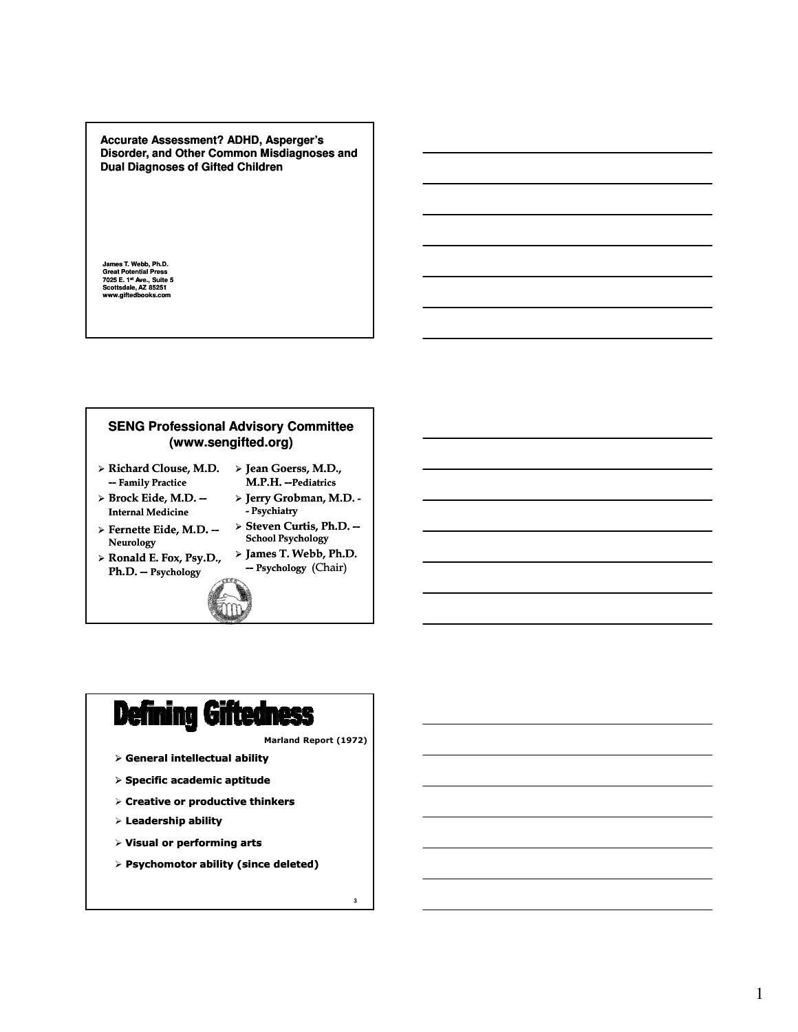**Accurate Assessment? ADHD, Asperger's Disorder, and Other Common Misdiagnoses and Dual Diagnoses of Gifted Children**

**James T. Webb, Ph.D. Great Potential Press 7025 E. 1st Ave., Suite 5 Scottsdale, AZ 85251 www.giftedbooks.com**

# **SENG Professional Advisory Committee (www.sengifted.org)**

- Richard Clouse, M.D. Jean Goerss, M.D., -- Family Practice
- $\triangleright$  Brock Eide, M.D. --Internal Medicine
- Fernette Eide, M.D. -- Neurology
- Ronald E. Fox, Psy.D., Ph.D. -- Psychology
- > Steven Curtis, Ph.D. --School Psychology James T. Webb, Ph.D.

- Psychiatry

M.P.H. --Pediatrics > Jerry Grobman, M.D. -

-- Psychology (Chair)





Marland Report (1972)

3

- $\triangleright$  General intellectual ability
- $>$  Specific academic aptitude
- $\triangleright$  Creative or productive thinkers
- $\triangleright$  Leadership ability
- $>$  Visual or performing arts
- $\triangleright$  Psychomotor ability (since deleted)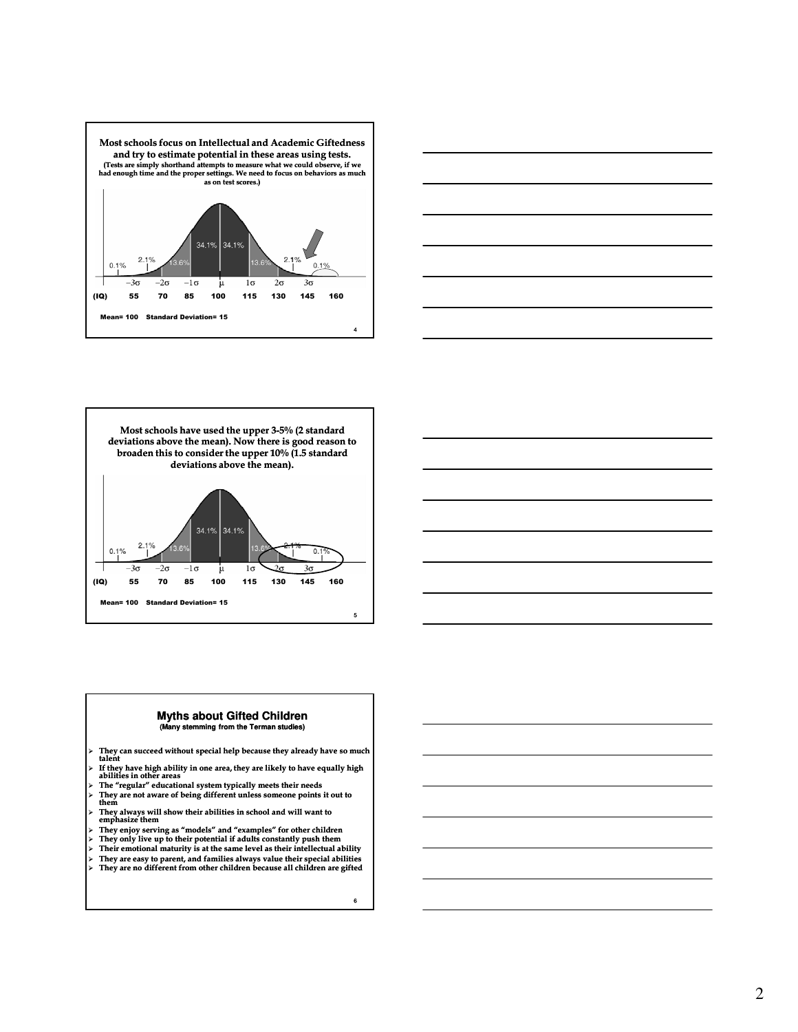







#### **Myths about Gifted Children (Many stemming from the Terman studies)**

- $\triangleright$  They can succeed without special help because they already have so much talent
- $\triangleright$  If they have high ability in one area, they are likely to have equally high abilities in other areas
- The "regular" educational system typically meets their needs They are not aware of being different unless someone points it out to them
- 
- They always will show their abilities in school and will want to emphasize them
- > They enjoy serving as "models" and "examples" for other children They only live up to their potential if adults constantly push them
- 
- Their emotional maturity is at the same level as their intellectual ability They are easy to parent, and families always value their special abilities They are no different from other children because all children are gifted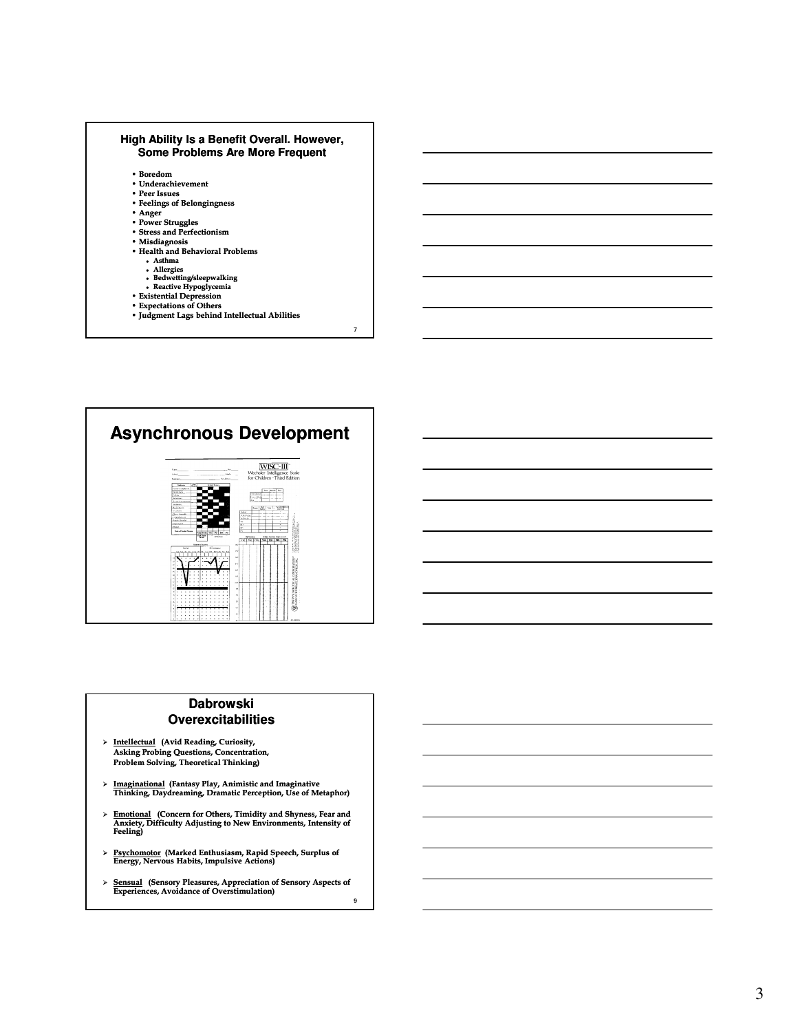



## **Dabrowski Overexcitabilities**

- > Intellectual (Avid Reading, Curiosity, Asking Probing Questions, Concentration, Problem Solving, Theoretical Thinking)
- Imaginational (Fantasy Play, Animistic and Imaginative Thinking, Daydreaming, Dramatic Perception, Use of Metaphor)
- Emotional (Concern for Others, Timidity and Shyness, Fear and Anxiety, Difficulty Adjusting to New Environments, Intensity of Feeling)
- > Psychomotor (Marked Enthusiasm, Rapid Speech, Surplus of Energy, Nervous Habits, Impulsive Actions)
- 9 > Sensual (Sensory Pleasures, Appreciation of Sensory Aspects of Experiences, Avoidance of Overstimulation)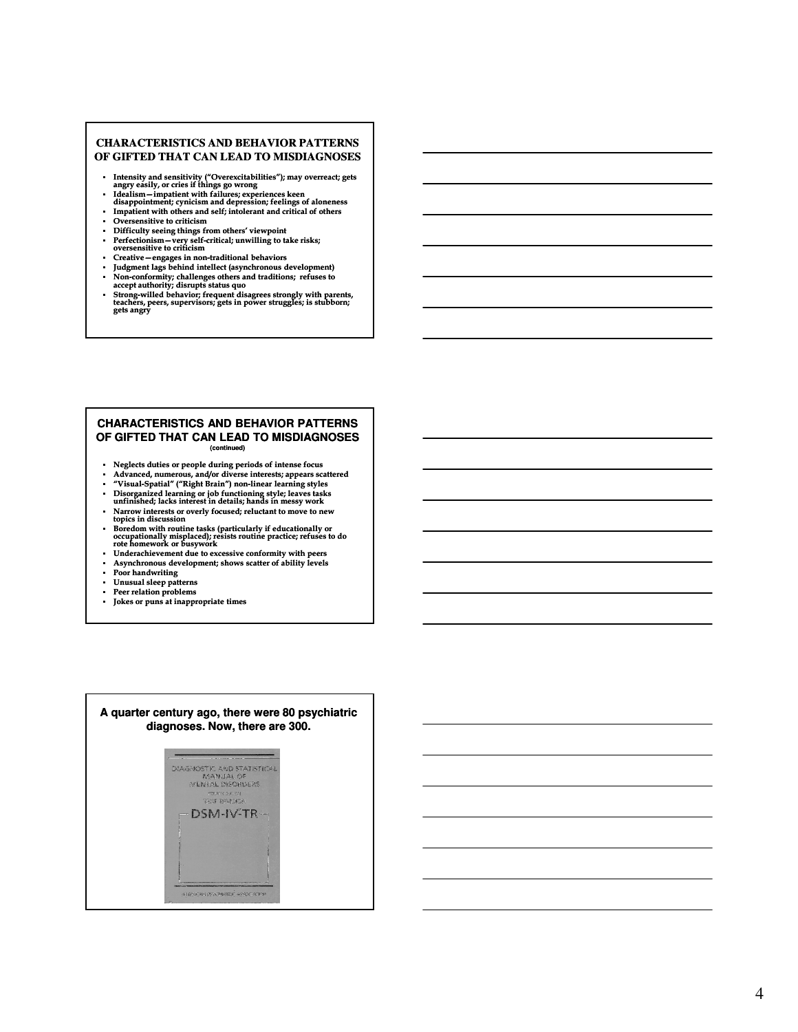#### **CHARACTERISTICS AND BEHAVIOR PATTERNS OF GIFTED THAT CAN LEAD TO MISDIAGNOSES**

- Intensity and sensitivity ("Overexcitabilities"); may overreact; gets angry easily, or cries if things go wrong
- Idealism—impatient with failures; experiences keen<br>disappointment; cynicism and depression; feelings of aloneness
- Impatient with others and self; intolerant and critical of others<br>Diversensitive to criticism Oversensitive to criticism
- 
- Difficulty seeing things from others' viewpoint<br>• Perfectionism very self-critical: unwilling to to - Perfectionism—very self-critical; unwilling to take risks; oversensitive to criticism
- Creative engages in non-traditional behaviors
- Judgment lags behind intellect (asynchronous development)
- Non-conformity; challenges others and traditions; refuses to accept authority; disrupts status quo
- Strong-willed behavior; frequent disagrees strongly with parents,<br>teachers, peers, supervisors; gets in power struggles; is stubborn;<br>gets angry

#### **CHARACTERISTICS AND BEHAVIOR PATTERNS OF GIFTED THAT CAN LEAD TO MISDIAGNOSES (continued)**

- 
- Neglects duties or people during periods of intense focus Advanced, numerous, and/or diverse interests; appears scattered
- "Visual-Spatial" ("Right Brain") non-linear learning styles<br>Disorganized learning or job functioning style: leaves task
- Disorganized learning or job functioning style; leaves tasks unfinished; lacks interest in details; hands in messy work Narrow interests or overly focused; reluctant to move to new
- topics in discussion
- Boredom with routine tasks (particularly if educationally or occupationally misplaced); resists routine practice; refuses to do rote homework or busywork Underachievement due to excessive conformity with peers
- 
- Asynchronous development; shows scatter of ability levels
- Poor handwriting
- Unusual sleep patterns Peer relation problems
- Jokes or puns at inappropriate times

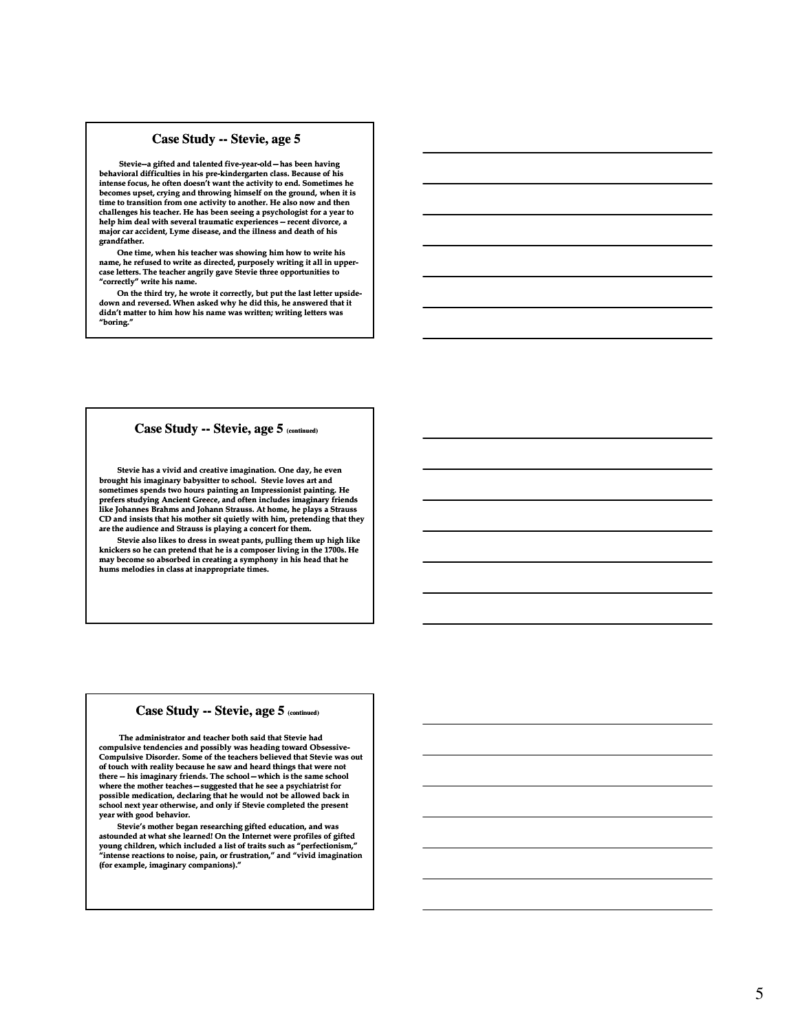#### **Case Study -- Stevie, age 5**

Stevie--a gifted and talented five-year-old-has been having behavioral difficulties in his pre-kindergarten class. Because of his<br>intense focus, he often doesn't want the activity to end. Sometimes he becomes upset, crying and throwing himself on the ground, when it is time to transition from one activity to another. He also now and then challenges his teacher. He has been seeing a psychologist for a year to help him deal with several traumatic experiences  $-$  recent divorce, a major car accident, Lyme disease, and the illness and death of his grandfather.

One time, when his teacher was showing him how to write his name, he refused to write as directed, purposely writing it all in uppercase letters. The teacher angrily gave Stevie three opportunities to "correctly" write his name.

On the third try, he wrote it correctly, but put the last letter upside-<br>down and reversed. When asked why he did this, he answered that it didn't matter to him how his name was written; writing letters was "boring."

#### **Case Study -- Stevie, age 5 (continued)**

Stevie has a vivid and creative imagination. One day, he even brought his imaginary babysitter to school. Stevie loves art and sometimes spends two hours painting an Impressionist painting. He prefers studying Ancient Greece, and often includes imaginary friends like Johannes Brahms and Johann Strauss. At home, he plays a Strauss CD and insists that his mother sit quietly with him, pretending that they are the audience and Strauss is playing a concert for them.

Stevie also likes to dress in sweat pants, pulling them up high like knickers so he can pretend that he is a composer living in the 1700s. He may become so absorbed in creating a symphony in his head that he hums melodies in class at inappropriate times.

#### **Case Study -- Stevie, age 5 (continued)**

The administrator and teacher both said that Stevie had compulsive tendencies and possibly was heading toward Obsessive-Compulsive Disorder. Some of the teachers believed that Stevie was out of touch with reality because he saw and heard things that were not there -- his imaginary friends. The school -- which is the same school where the mother teaches—suggested that he see a psychiatrist for possible medication, declaring that he would not be allowed back in school next year otherwise, and only if Stevie completed the present year with good behavior.

Stevie's mother began researching gifted education, and was<br>astounded at what she learned! On the Internet were profiles of gifted<br>young children, which included a list of traits such as "perfectionism,"<br>"intense reactions (for example, imaginary companions)."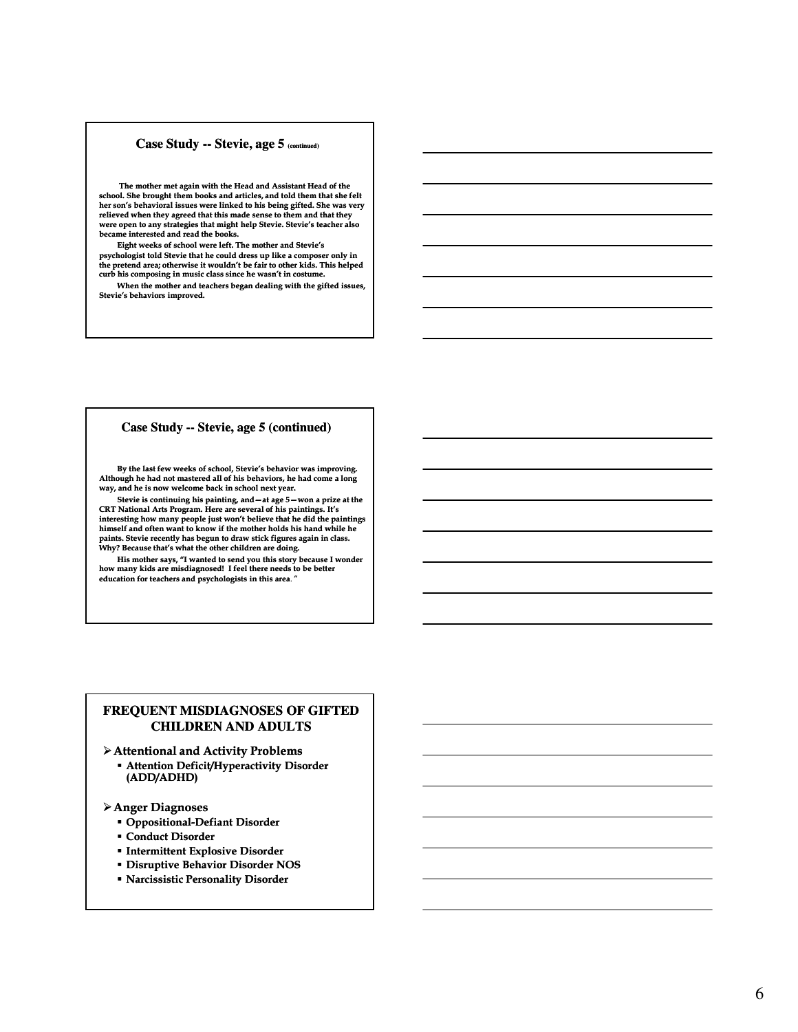#### **Case Study -- Stevie, age 5 (continued)**

The mother met again with the Head and Assistant Head of the school. She brought them books and articles, and told them that she felt her son's behavioral issues were linked to his being gifted. She was very relieved when they agreed that this made sense to them and that they were open to any strategies that might help Stevie. Stevie's teacher also became interested and read the books.

Eight weeks of school were left. The mother and Stevie's psychologist told Stevie that he could dress up like a composer only in the pretend area; otherwise it wouldn't be fair to other kids. This helped curb his composing in music class since he wasn't in costume.

When the mother and teachers began dealing with the gifted issues, Stevie's behaviors improved.

#### **Case Study -- Stevie, age 5 (continued) tevie,**

By the last few weeks of school, Stevie's behavior was improving. Although he had not mastered all of his behaviors, he had come a long way, and he is now welcome back in school next year.

Stevie is continuing his painting, and  $-$  at age  $5 - w$ on a prize at the CRT National Arts Program. Here are several of his paintings. It's interesting how many people just won't believe that he did the paintings himself and often want to know if the mother holds his hand while he paints. Stevie recently has begun to draw stick figures again in class. Why? Because that's what the other children are doing.

His mother says, "I wanted to send you this story because I wonder how many kids are misdiagnosed! I feel there needs to be better education for teachers and psychologists in this area.

### **FREQUENT MISDIAGNOSES OF GIFTED CHILDREN AND ADULTS**

- Attentional and Activity Problems
	- Attention Deficit/Hyperactivity Disorder (ADD/ADHD)

#### Anger Diagnoses

- **Oppositional-Defiant Disorder**
- Conduct Disorder
- **Intermittent Explosive Disorder**
- Disruptive Behavior Disorder NOS
- Narcissistic Personality Disorder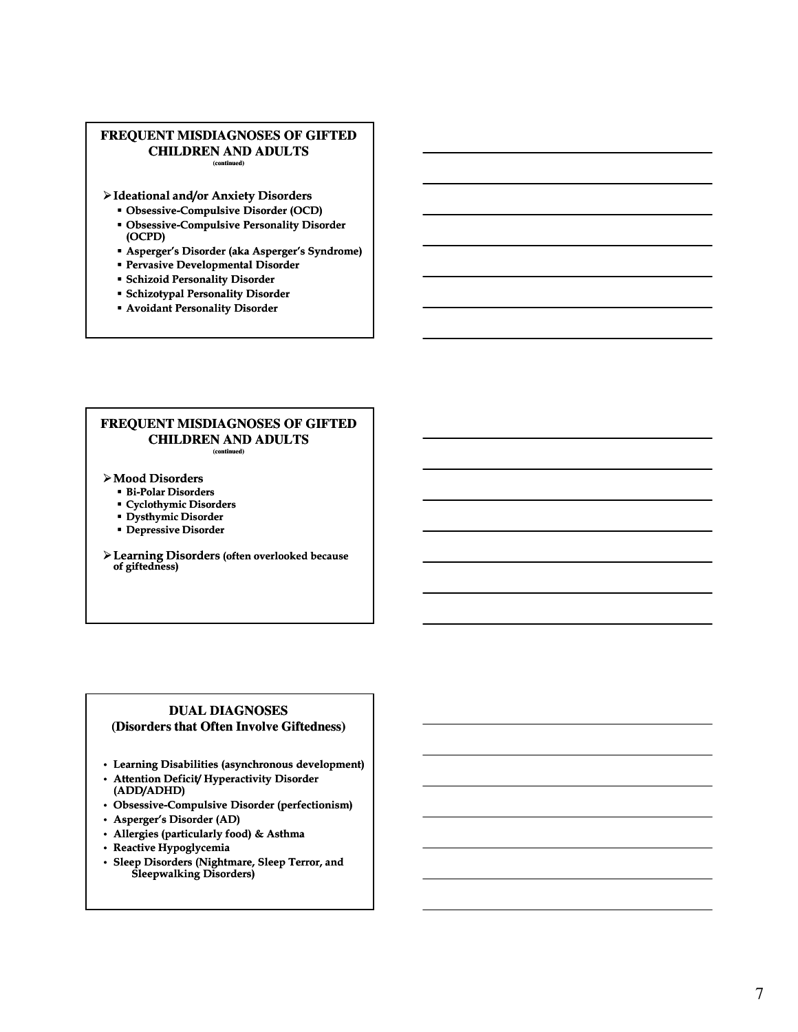#### **FREQUENT MISDIAGNOSES OF GIFTED CHILDREN AND ADULTS (continued)**

Ideational and/or Anxiety Disorders

- Obsessive-Compulsive Disorder (OCD)
- **Obsessive-Compulsive Personality Disorder** (OCPD)
- Asperger's Disorder (aka Asperger's Syndrome)
- Pervasive Developmental Disorder
- Schizoid Personality Disorder
- Schizotypal Personality Disorder
- Avoidant Personality Disorder

#### **FREQUENT MISDIAGNOSES OF GIFTED CHILDREN AND ADULTS (continued)**

- Mood Disorders
	- **Bi-Polar Disorders**
	- Cyclothymic Disorders
	- **Dysthymic Disorder**
	- Depressive Disorder
- Learning Disorders (often overlooked because of giftedness)

### **DUAL DIAGNOSES (Disorders that Often Involve Giftedness)**

- Learning Disabilities (asynchronous development)
- Attention Deficit/ Hyperactivity Disorder (ADD/ADHD)
- Obsessive-Compulsive Disorder (perfectionism)
- Asperger's Disorder (AD)
- Allergies (particularly food) & Asthma
- Reactive Hypoglycemia
- Sleep Disorders (Nightmare, Sleep Terror, and Sleepwalking Disorders)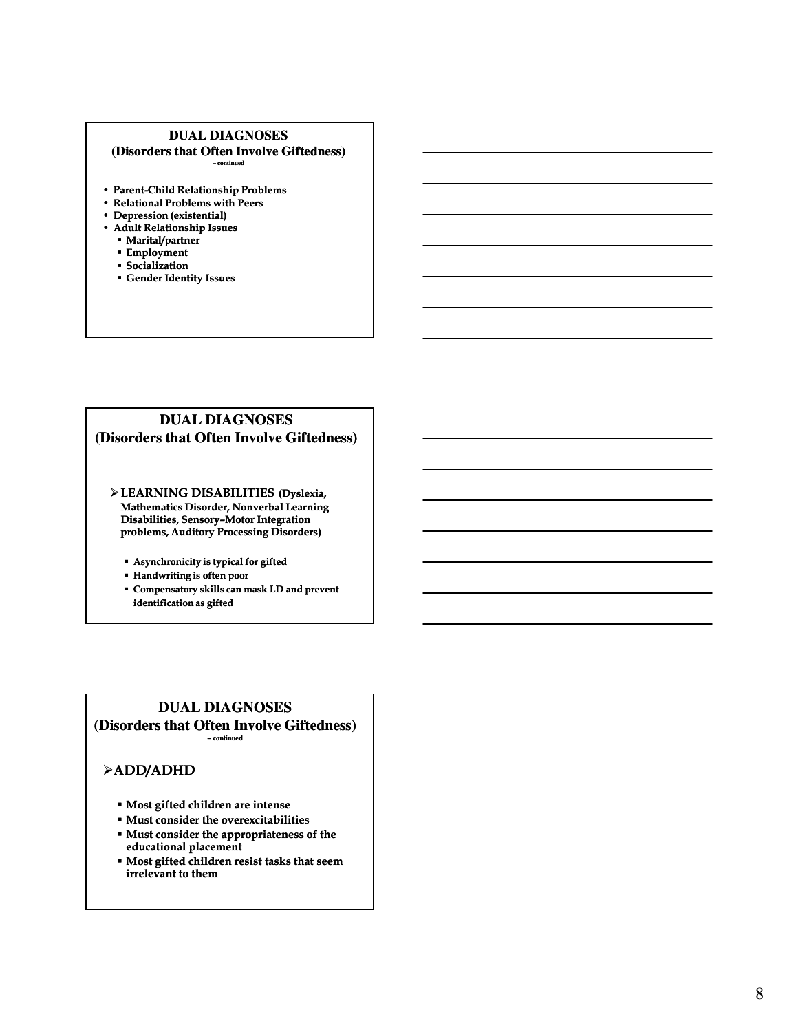#### **DUAL DIAGNOSES (Disorders that Often Involve Giftedness) – continued**

- Parent-Child Relationship Problems
- Relational Problems with Peers
- Depression (existential)
- Adult Relationship Issues
	- **Marital/partner**
	- **Employment**
	- Socialization Gender Identity Issues

# **DUAL DIAGNOSES (Disorders that Often Involve Giftedness)**

- LEARNING DISABILITIES (Dyslexia, Mathematics Disorder, Nonverbal Learning Disabilities, Sensory-Motor Integration problems, Auditory Processing Disorders)
	- Asynchronicity is typical for gifted
	- Handwriting is often poor
	- Compensatory skills can mask LD and prevent identification as gifted

### **DUAL DIAGNOSES (Disorders that Often Involve Giftedness) – continued**

# ADD/ADHD

- Most gifted children are intense
- Must consider the overexcitabilities
- Must consider the appropriateness of the educational placement
- Most gifted children resist tasks that seem irrelevant to them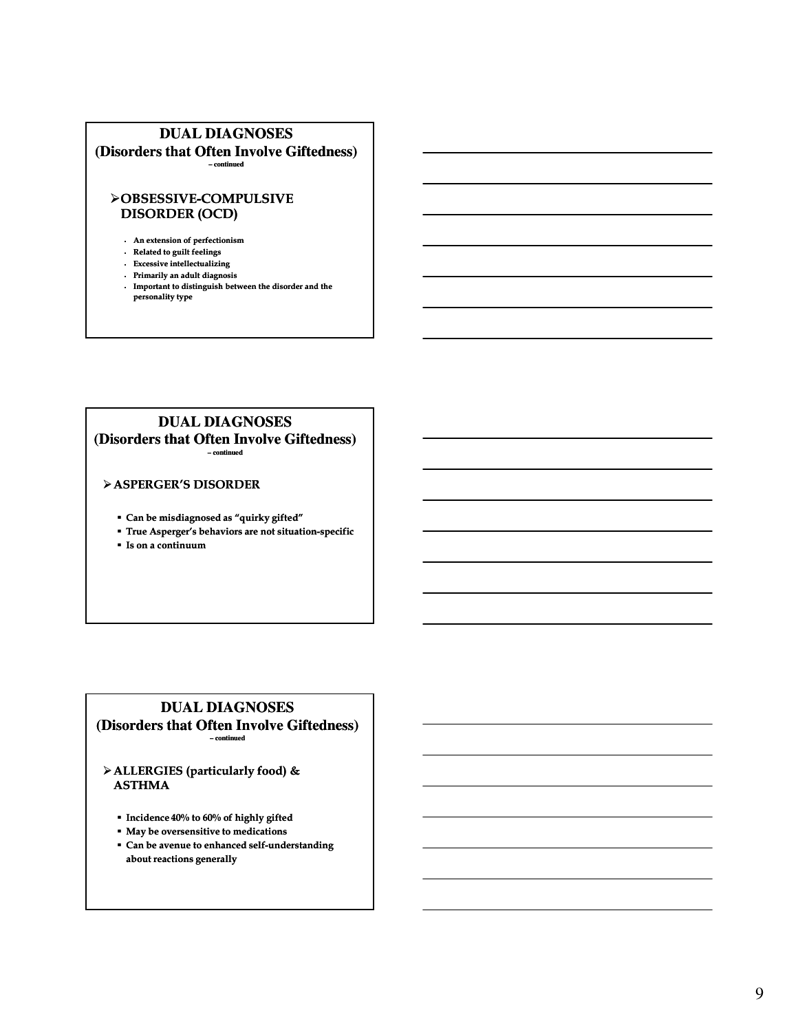# **DUAL DIAGNOSES (Disorders that Often Involve Giftedness)**

**– continued**

# OBSESSIVE OBSESSIVE-COMPULSIVE COMPULSIVE DISORDER (OCD)

- An extension of perfectionism
- Related to guilt feelings
- Excessive intellectualizing
- Primarily an adult diagnosis
- Important to distinguish between the disorder and the personality type

# **DUAL DIAGNOSES**

**(Disorders that Often Involve Giftedness) – continued**

### ASPERGER'S DISORDER

- Can be misdiagnosed as "quirky gifted"
- **True Asperger's behaviors are not situation-specific**
- Is on a continuum

### **DUAL DIAGNOSES (Disorders that Often Involve Giftedness) – continued**

ALLERGIES (particularly food) & ASTHMA

- Incidence 40% to 60% of highly gifted
- May be oversensitive to medications
- Can be avenue to enhanced self-understanding about reactions generally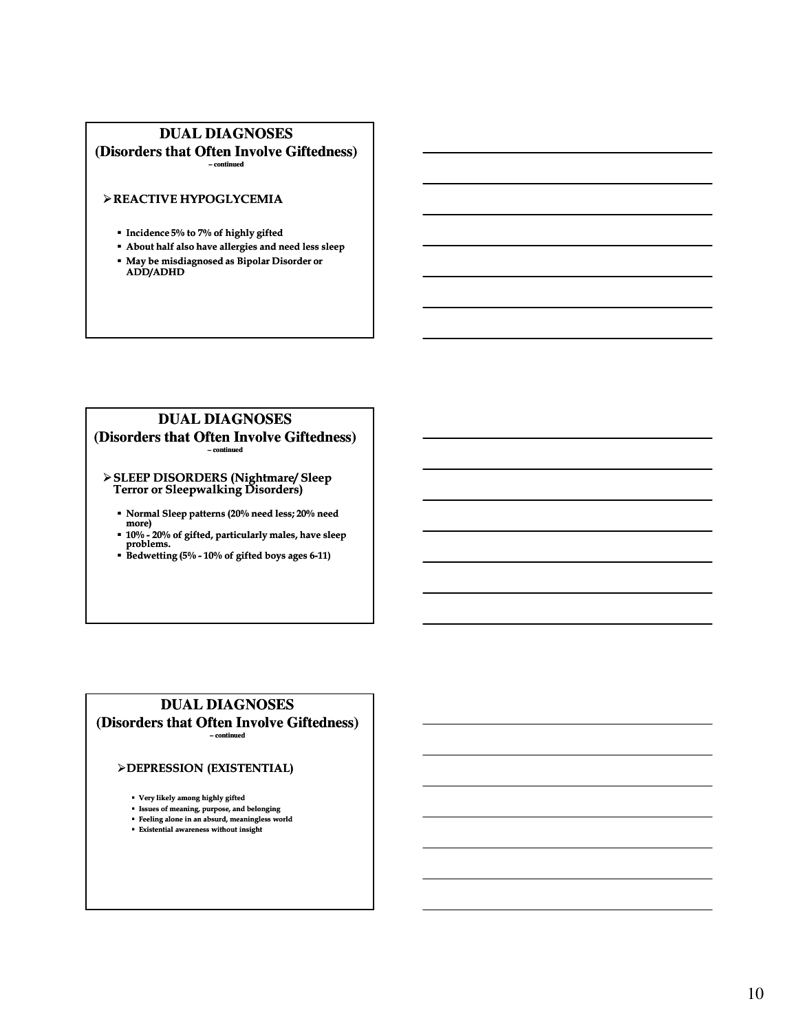# **DUAL DIAGNOSES (Disorders that Often Involve Giftedness)**

**– continued**

### REACTIVE HYPOGLYCEMIA

- **Incidence 5% to 7% of highly gifted**
- About half also have allergies and need less sleep
- May be misdiagnosed as Bipolar Disorder or ADD/ADHD

### **DUAL DIAGNOSES (Disorders that Often Involve Giftedness) – continued**

#### SLEEP DISORDERS (Nightmare/ Sleep Terror or Sleepwalking Disorders)

- Normal Sleep patterns (20% need less; 20% need more)
- 10% 20% of gifted, particularly males, have sleep problems.
- $\overline{\phantom{a}}$  Bedwetting (5% 10% of gifted boys ages 6-11)

### **DUAL DIAGNOSES (Disorders that Often Involve Giftedness) – continued**

### DEPRESSION (EXISTENTIAL)

Very likely among highly gifted

- Issues of meaning, purpose, and belonging
- Feeling alone in an absurd, meaningless world Existential awareness without insight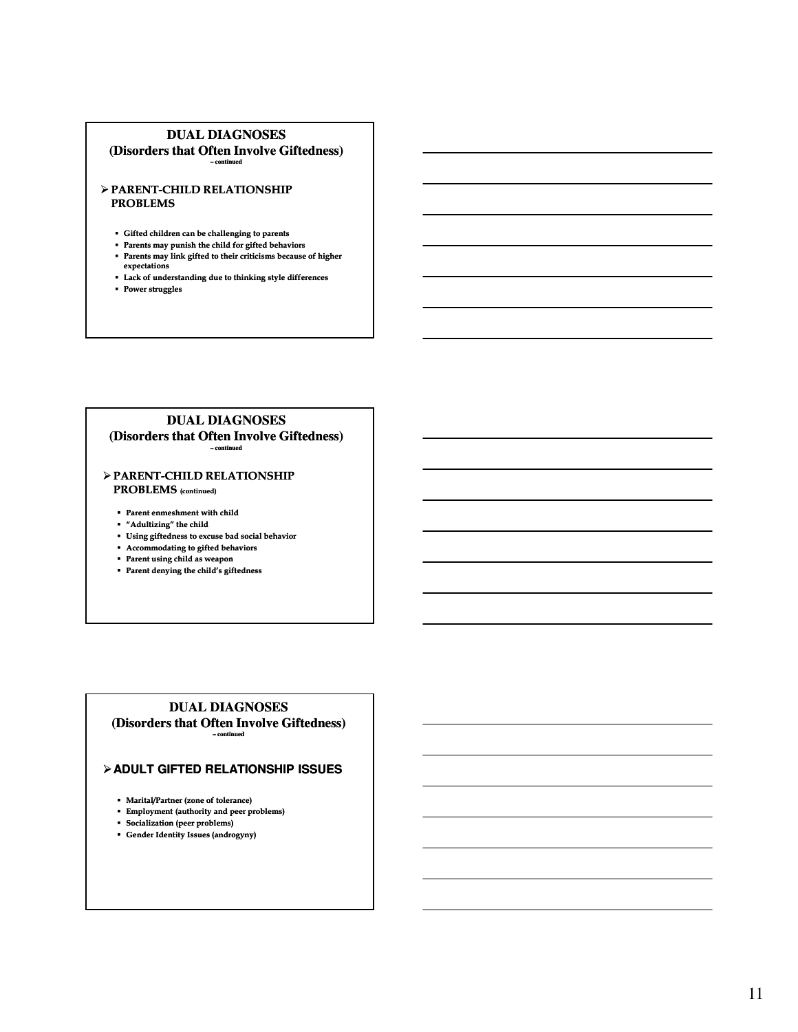## **DUAL DIAGNOSES**

**(Disorders that Often Involve Giftedness) – continued**

#### $\triangleright$  PARENT-CHILD RELATIONSHIP PROBLEMS

- Gifted children can be challenging to parents
- Parents may punish the child for gifted behaviors
- Parents may link gifted to their criticisms because of higher expectations
- Lack of understanding due to thinking style differences
- **Power struggles**

#### **DUAL DIAGNOSES (Disorders that Often Involve Giftedness) – continued**

### $\triangleright$  PARENT-CHILD RELATIONSHIP PROBLEMS (continued)

- Parent enmeshment with child
- $\hspace{0.1mm}$  "Adultizing" the child
- Using giftedness to excuse bad social behavior
- Accommodating to gifted behaviors
- Parent using child as weapon
- Parent denying the child's giftedness

#### **DUAL DIAGNOSES (Disorders that Often Involve Giftedness) – continued**

### **ADULT GIFTED RELATIONSHIP ISSUES**

- Marital/Partner (zone of tolerance)
- Employment (authority and peer problems)
- Socialization (peer problems)
- Gender Identity Issues (androgyny)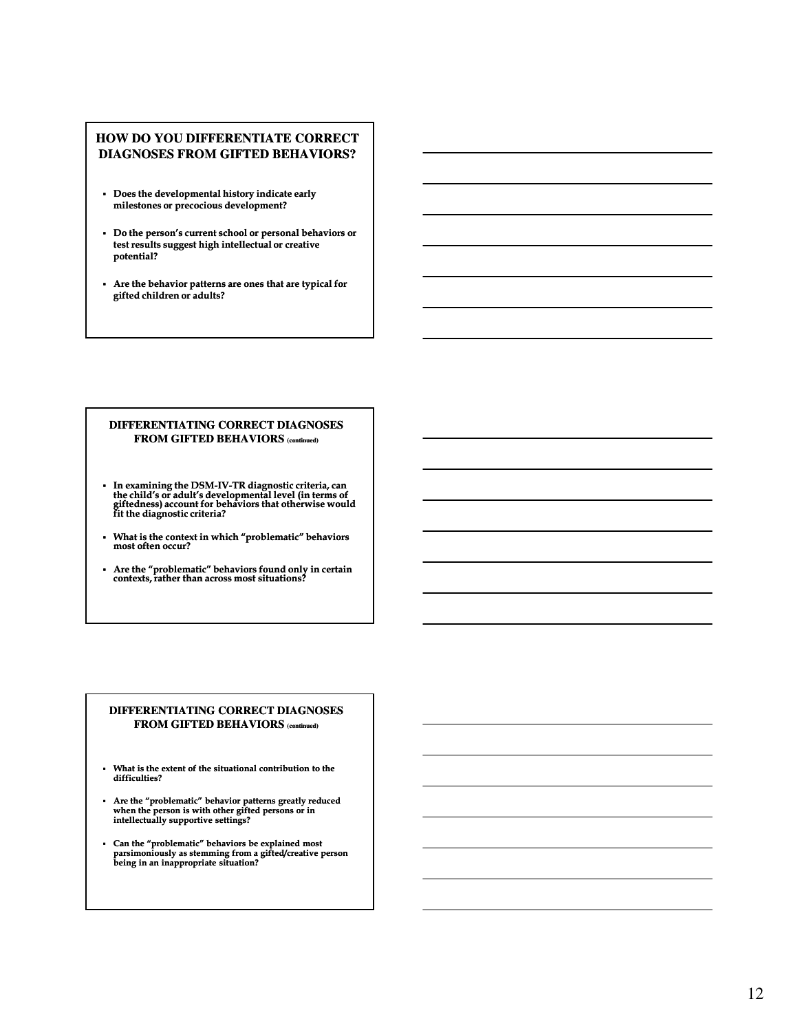### **HOW DO YOU DIFFERENTIATE CORRECT DIAGNOSES FROM GIFTED BEHAVIORS?**

- Does the developmental history indicate early milestones or precocious development?
- Do the person's current school or personal behaviors or test results suggest high intellectual or creative potential?
- Are the behavior patterns are ones that are typical for gifted children or adults?

#### **DIFFERENTIATING CORRECT DIAGNOSES FROM GIFTED BEHAVIORS (continued)**

- In examining the DSM-IV-TR diagnostic criteria, can TR the child's or adult's developmental level (in terms of giftedness) account for behaviors that otherwise would fit the diagnostic criteria?
- What is the context in which "problematic" behaviors most often occur?
- Are the "problematic" behaviors found only in certain contexts, rather than across most situations?

#### **DIFFERENTIATING CORRECT DIAGNOSES FROM GIFTED BEHAVIORS (continued)**

- What is the extent of the situational contribution to the difficulties?
- Are the "problematic" behavior patterns greatly reduced when the person is with other gifted persons or in intellectually supportive settings?
- Can the "problematic" behaviors be explained most parsimoniously as stemming from a gifted/creative person being in an inappropriate situation?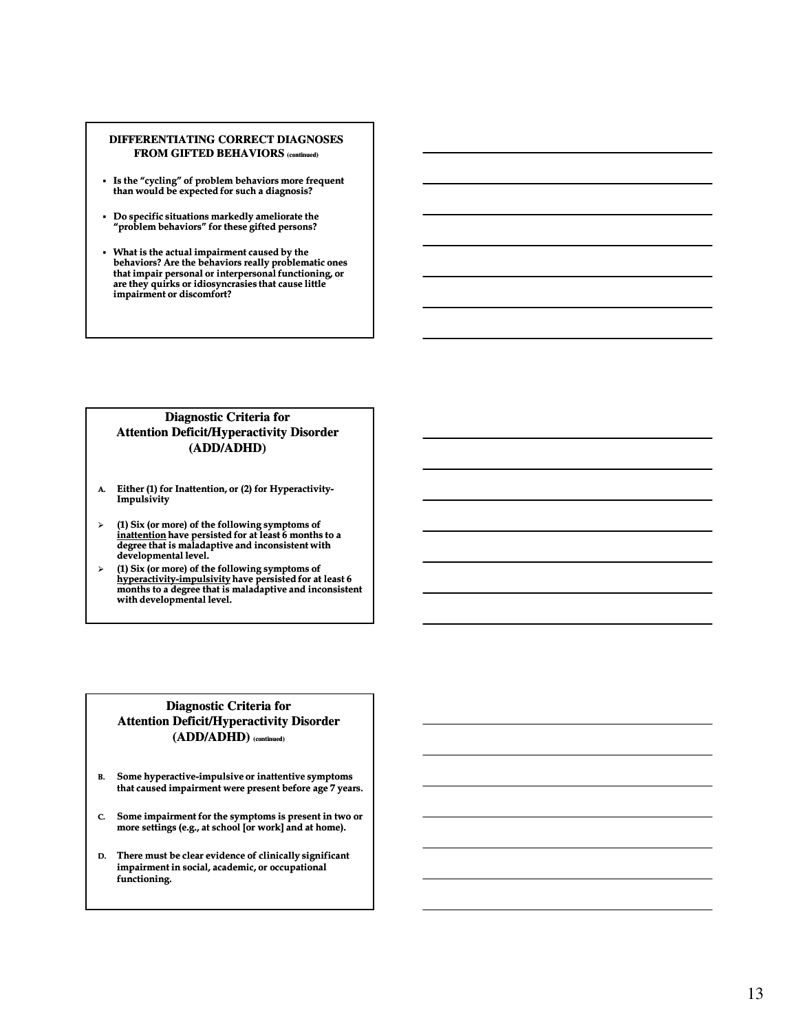#### **DIFFERENTIATING CORRECT DIAGNOSES FROM GIFTED BEHAVIORS (continued)**

- Is the "cycling" of problem behaviors more frequent than would be expected for such a diagnosis?
- Do specific situations markedly ameliorate the "problem behaviors" for these gifted persons?
- What is the actual impairment caused by the behaviors? Are the behaviors really problematic ones that impair personal or interpersonal functioning, or are they quirks or idiosyncrasies that cause little impairment or discomfort?

### **Diagnostic Criteria for Attention Deficit/Hyperactivity Disorder (ADD/ADHD)**

- A. Either (1) for Inattention, or (2) for Hyperactivity-Impulsivity
- $\triangleright$  (1) Six (or more) of the following symptoms of inattention have persisted for at least 6 months to a degree that is maladaptive and inconsistent with developmental level.
- $\triangleright$  (1) Six (or more) of the following symptoms of <u>hyperactivity-impulsivity</u> have persisted for at least 6 months to a degree that is maladaptive and inconsistent with developmental level.

### **Diagnostic Criteria for Attention Deficit/Hyperactivity Disorder (ADD/ADHD) (continued)**

- B. Some hyperactive-impulsive or inattentive symptoms that caused impairment were present before age 7 years.
- C. Some impairment for the symptoms is present in two or more settings (e.g., at school [or work] and at home).
- D. There must be clear evidence of clinically significant impairment in social, academic, or occupational functioning.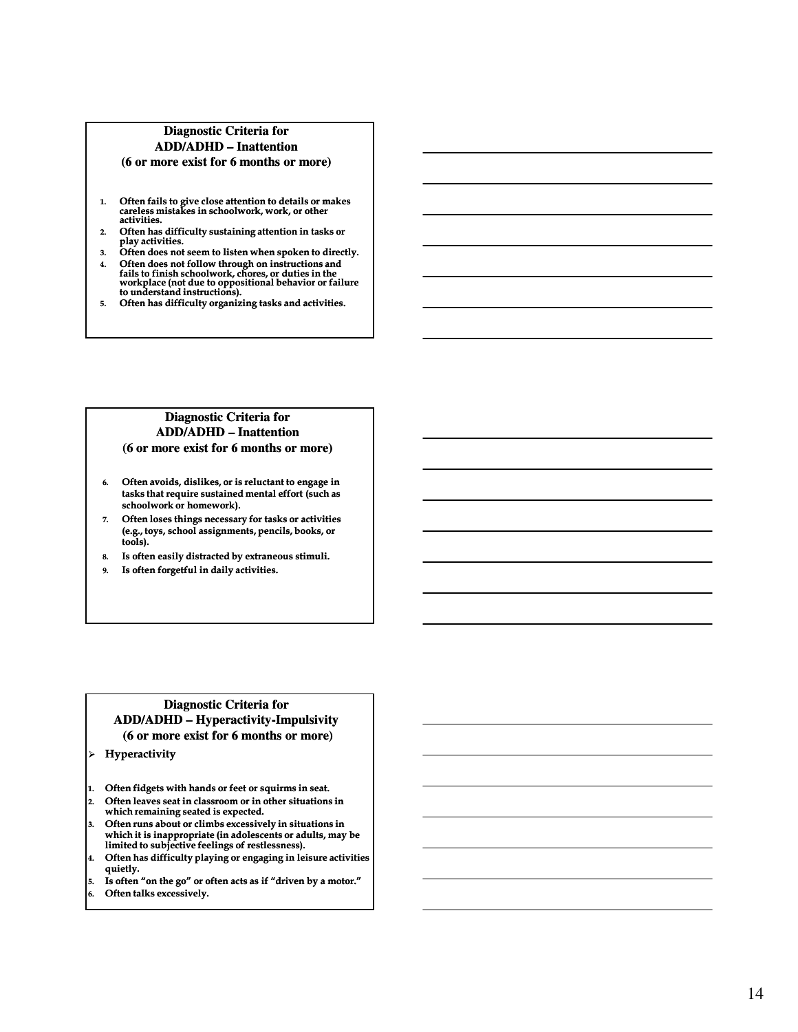### **Diagnostic Criteria for ADD/ADHD – Inattention (6 or more exist for 6 months or more)**

- 1. Often fails to give close attention to details or makes careless mistakes in schoolwork, work, or other activities.
- 2. Often has difficulty sustaining attention in tasks or play activities.
- 3. Often does not seem to listen when spoken to directly.
- 4. Often does not follow through on instructions and fails to finish schoolwork, chores, or duties in the workplace (not due to oppositional behavior or failure to understand instructions).
- 5. Often has difficulty organizing tasks and activities.

### **Diagnostic Criteria for ADD/ADHD – Inattention (6 or more exist for 6 months or more)**

- 6. Often avoids, dislikes, or is reluctant to engage in tasks that require sustained mental effort (such as schoolwork or homework).
- 7. Often loses things necessary for tasks or activities (e.g., toys, school assignments, pencils, books, or tools).
- 8. Is often easily distracted by extraneous stimuli.
- 9. Is often forgetful in daily activities.

### **Diagnostic Criteria for ADD/ADHD – Hyperactivity Hyperactivity-Impulsivity Impulsivity (6 or more exist for 6 months or more)**

- Hyperactivity
- 1. Often fidgets with hands or feet or squirms in seat.
- 2. Often leaves seat in classroom or in other situations in which remaining seated is expected.
- 3. Often runs about or climbs excessively in situations in which it is inappropriate (in adolescents or adults, may be limited to subjective feelings of restlessness).
- 4. Often has difficulty playing or engaging in leisure activities quietly.
- 5. Is often "on the go" or often acts as if "driven by a motor."
- Often talks excessively.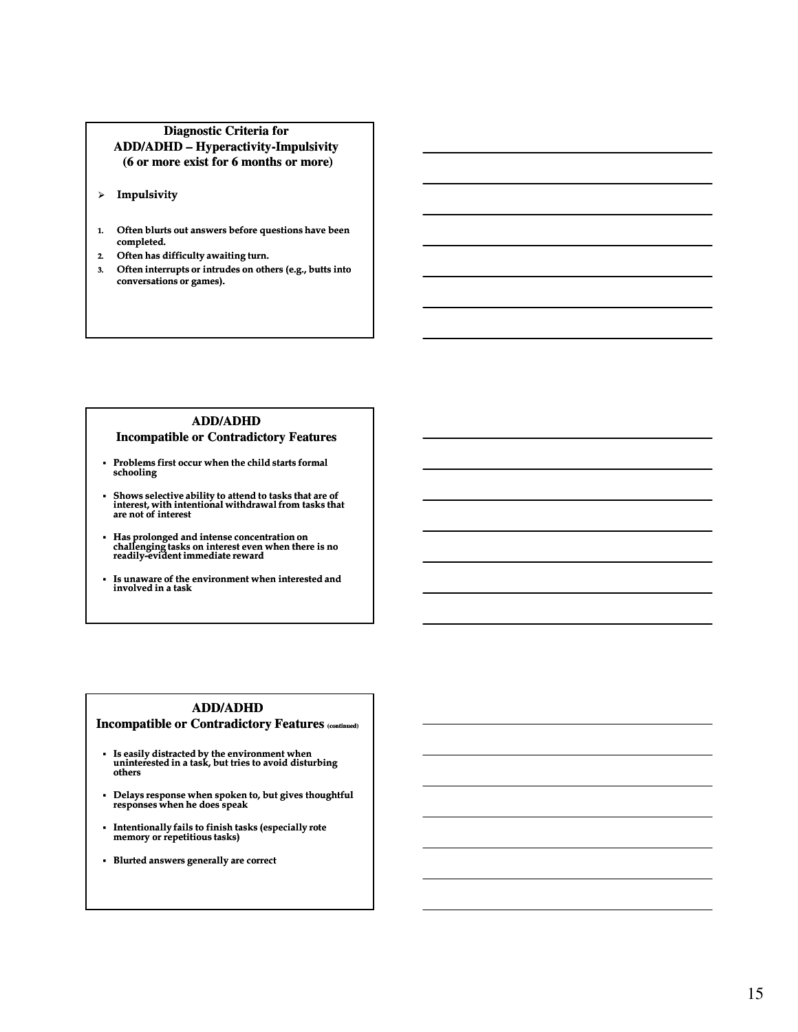### **Diagnostic Criteria for ADD/ADHD – Hyperactivity Hyperactivity-Impulsivity Impulsivity (6 or more exist for 6 months or more)**

- > Impulsivity
- 1. Often blurts out answers before questions have been completed.
- 2. Often has difficulty awaiting turn.
- 3. Often interrupts or intrudes on others (e.g., butts into conversations or games).

### **ADD/ADHD Incompatible or Contradictory Features**

- Problems first occur when the child starts formal schooling
- Shows selective ability to attend to tasks that are of interest, with intentional withdrawal from tasks that are not of interest
- Has prolonged and intense concentration on<br>challenging tasks on interest even when there is no<br>readily-evident immediate reward
- Is unaware of the environment when interested and involved in a task

# **ADD/ADHD**

# **Incompatible or Contradictory Features (continued)**

- Is easily distracted by the environment when uninterested in a task, but tries to avoid disturbing others
- Delays response when spoken to, but gives thoughtful responses when he does speak
- Intentionally fails to finish tasks (especially rote memory or repetitious tasks)
- Blurted answers generally are correct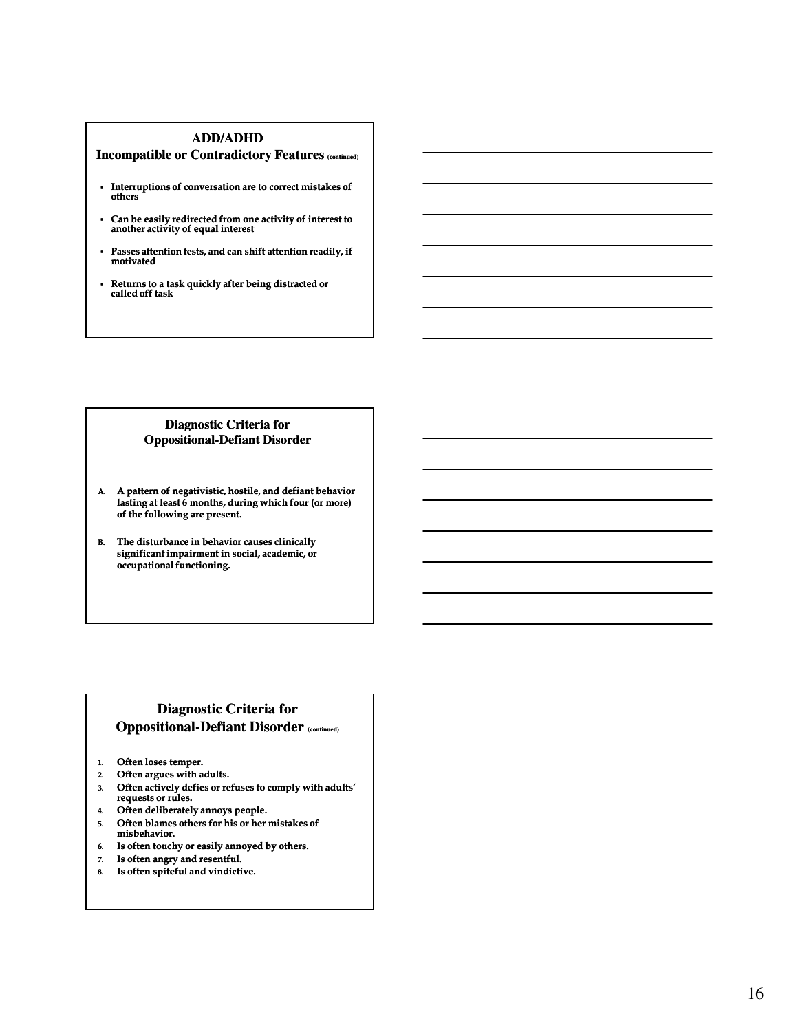### **ADD/ADHD**

### **Incompatible or Contradictory Features (continued)**

- Interruptions of conversation are to correct mistakes of others
- Can be easily redirected from one activity of interest to another activity of equal interest
- Passes attention tests, and can shift attention readily, if motivated
- Returns to a task quickly after being distracted or called off task

### **Diagnostic Criteria for Oppositional Oppositional-Defiant Disorder Defiant**

- A. A pattern of negativistic, hostile, and defiant behavior lasting at least  $6$  months, during which four (or more) of the following are present.
- B. The disturbance in behavior causes clinically significant impairment in social, academic, or occupational functioning.

# **Diagnostic Criteria for Oppositional-Defiant Disorder (continued)**

- 1. Often loses temper.
- 2. Often argues with adults.
- 3. Often actively defies or refuses to comply with adults' requests or rules.
- 4. Often deliberately annoys people.
- 5. Often blames others for his or her mistakes of misbehavior.
- 6. Is often touchy or easily annoyed by others.
- 7. Is often angry and resentful.
- 8. Is often spiteful and vindictive.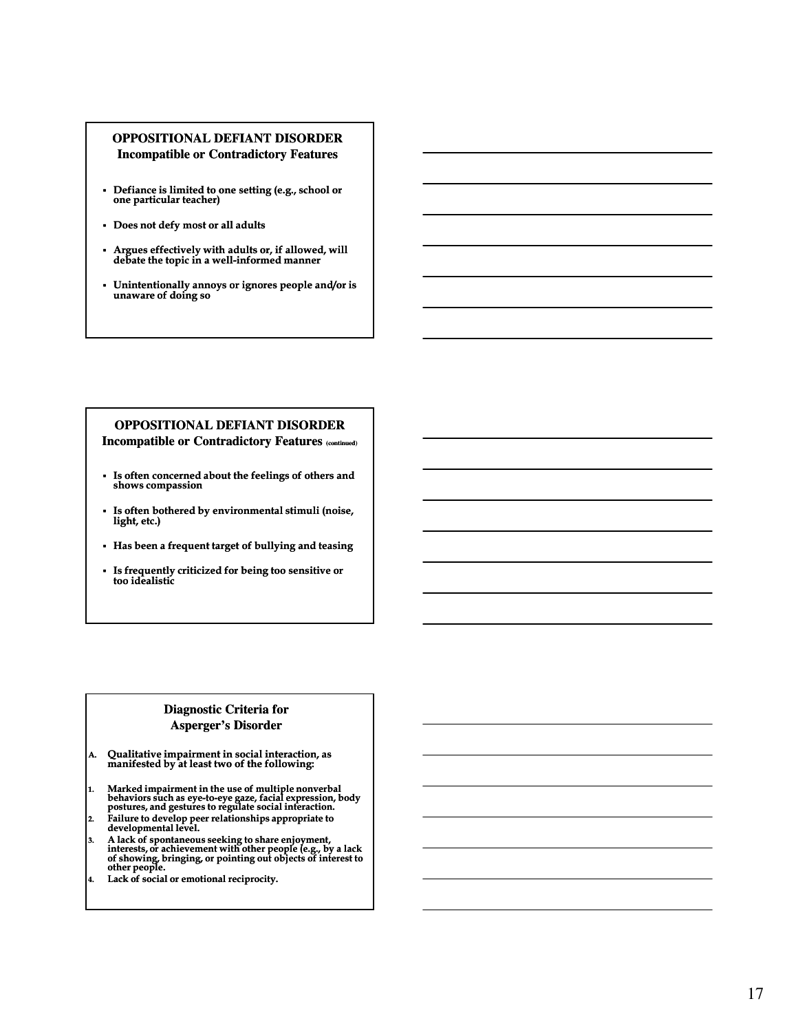### **OPPOSITIONAL DEFIANT DISORDER Incompatible or Contradictory Features**

- Defiance is limited to one setting (e.g., school or one particular teacher)
- Does not defy most or all adults
- Argues effectively with adults or, if allowed, will debate the topic in a well-informed manner
- Unintentionally annoys or ignores people and/or is unaware of doing so

# **OPPOSITIONAL DEFIANT DISORDER**

**Incompatible or Contradictory Features (continued)**

- Is often concerned about the feelings of others and shows compassion
- Is often bothered by environmental stimuli (noise, light, etc.)
- Has been a frequent target of bullying and teasing
- Is frequently criticized for being too sensitive or too idealistic

# **Diagnostic Criteria for Asperger's Disorder**

- A. Qualitative impairment in social interaction, as manifested by at least two of the following:
- 1. Marked impairment in the use of multiple nonverbal behaviors such as eye eye-to-eye gaze, facial expression, body eye postures, and gestures to regulate social interaction.
- 2. Failure to develop peer relationships appropriate to developmental level.
- 3. A lack of spontaneous seeking to share enjoyment, interests, or achievement with other people (e.g., by a lack of showing, bringing, or pointing out objects of interest to other people.
- 4. Lack of social or emotional reciprocity.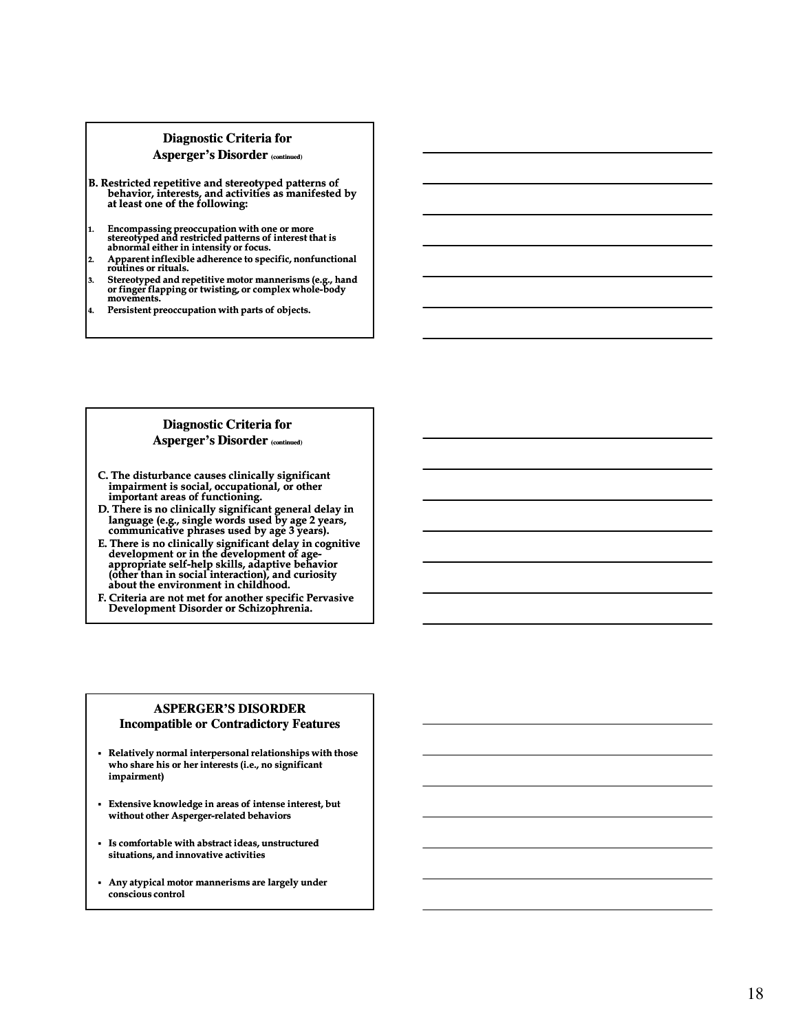### **Diagnostic Criteria for Asperger's Disorder (continued)**

- B. Restricted repetitive and stereotyped patterns of behavior, interests, and activities as manifested by<br>at least one of the following:
- 1. Encompassing preoccupation with one or more stereotyped and restricted patterns of interest that is abnormal either in intensity or focus.
- 2. Apparent inflexible adherence to specific, nonfunctional routines or rituals.
- 3. Stereotyped and repetitive motor mannerisms (e.g., hand or finger flapping or twisting, or complex whole whole-body movements.
- 4. Persistent preoccupation with parts of objects.

## **Diagnostic Criteria for Asperger's Disorder (continued)**

- C. The disturbance causes clinically significant impairment is social, occupational, or other important areas of functioning.
- D. There is no clinically significant general delay in language (e.g., single words used by age 2 years, communicative phrases used by age 3 years).
- E. There is no clinically significant delay in cognitive development or in the development of ageappropriate self-help skills, adaptive behavior (other than in social interaction), and curiosity about the environment in childhood.
- F. Criteria are not met for another specific Pervasive Development Disorder or Schizophrenia.

### **ASPERGER'S DISORDER Incompatible or Contradictory Features**

- Relatively normal interpersonal relationships with those who share his or her interests (i.e., no significant impairment)
- Extensive knowledge in areas of intense interest, but without other Asperger-related behaviors
- Is comfortable with abstract ideas, unstructured situations, and innovative activities
- Any atypical motor mannerisms are largely under conscious control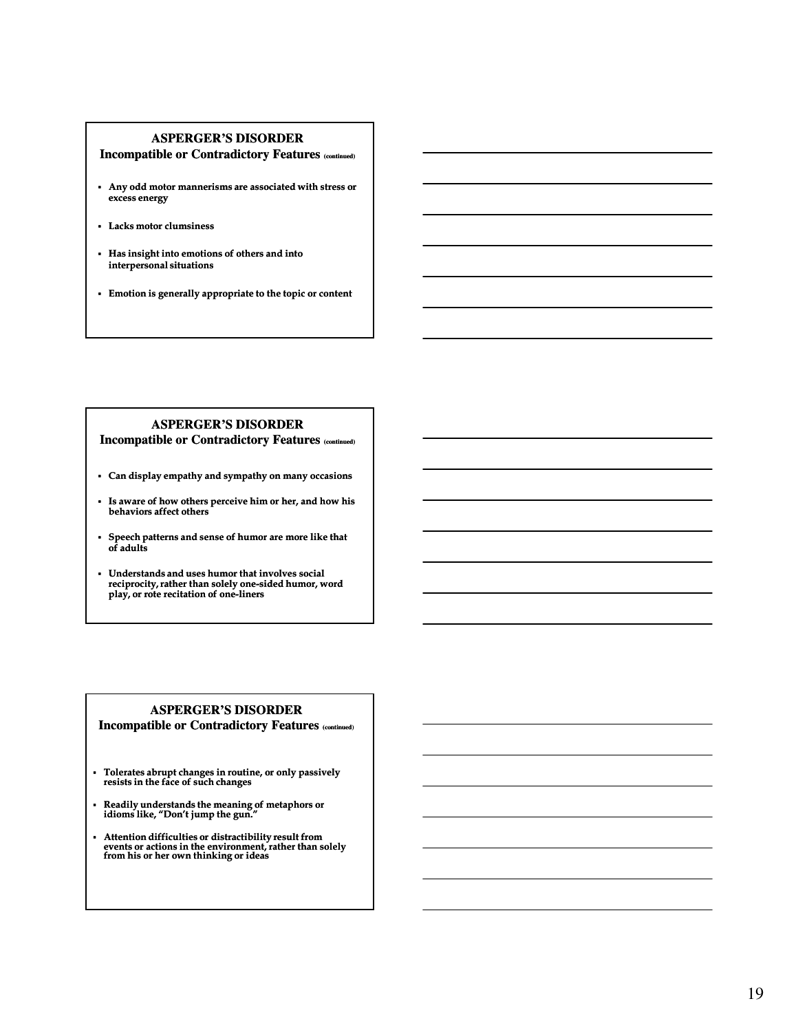### **ASPERGER'S DISORDER**

**Incompatible or Contradictory Features (continued)**

- Any odd motor mannerisms are associated with stress or excess energy
- Lacks motor clumsiness
- Has insight into emotions of others and into interpersonal situations
- Emotion is generally appropriate to the topic or content

### **ASPERGER'S DISORDER**

**Incompatible or Contradictory Features (continued)**

- Can display empathy and sympathy on many occasions
- Is aware of how others perceive him or her, and how his behaviors affect others
- Speech patterns and sense of humor are more like that of adults
- Understands and uses humor that involves social reciprocity, rather than solely one-sided humor, word play, or rote recitation of one-liners

## **ASPERGER'S DISORDER**

**Incompatible or Contradictory Features (continued)**

- Tolerates abrupt changes in routine, or only passively resists in the face of such changes
- Readily understands the meaning of metaphors or idioms like, "Don't jump the gun."
- Attention difficulties or distractibility result from events or actions in the environment, rather than solely from his or her own thinking or ideas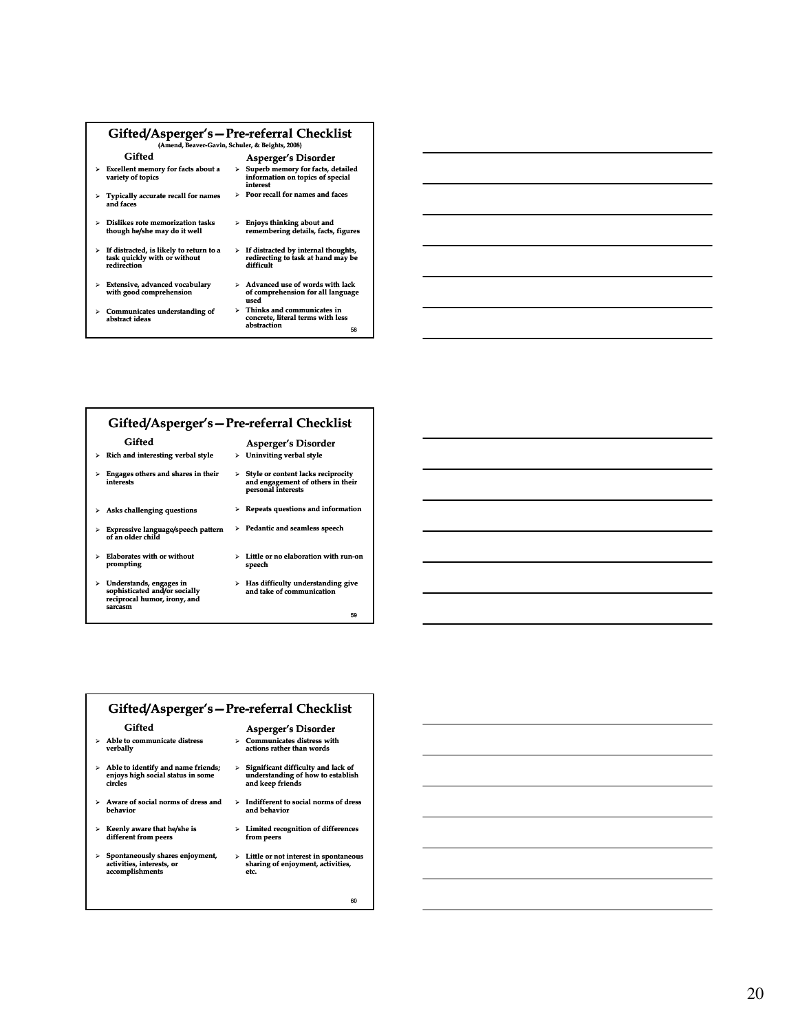| Gifted/Asperger's-Pre-referral Checklist<br>(Amend, Beaver-Gavin, Schuler, & Beights, 2008)             |                                                                                                           |  |  |
|---------------------------------------------------------------------------------------------------------|-----------------------------------------------------------------------------------------------------------|--|--|
| Gifted                                                                                                  | <b>Asperger's Disorder</b>                                                                                |  |  |
| <b>Excellent memory for facts about a</b><br>variety of topics                                          | Superb memory for facts, detailed<br>>.<br>information on topics of special<br>interest                   |  |  |
| $\triangleright$ Typically accurate recall for names<br>and faces                                       | $\triangleright$ Poor recall for names and faces                                                          |  |  |
| $\triangleright$ Dislikes rote memorization tasks<br>though he/she may do it well                       | Enjoys thinking about and<br>⋗<br>remembering details, facts, figures                                     |  |  |
| $\triangleright$ If distracted, is likely to return to a<br>task quickly with or without<br>redirection | $\triangleright$ If distracted by internal thoughts,<br>redirecting to task at hand may be<br>difficult   |  |  |
| Extensive, advanced vocabulary<br>⋗<br>with good comprehension                                          | $\triangleright$ Advanced use of words with lack<br>of comprehension for all language<br>used             |  |  |
| $\triangleright$ Communicates understanding of<br>abstract ideas                                        | Thinks and communicates in<br>$\triangleright$<br>concrete, literal terms with less<br>abstraction<br>co. |  |  |

- Gifted
- $\triangleright$  Rich and interesting verbal style
- $\triangleright$  Engages others and shares in their interests Style or content lacks reciprocity and engagement of others in their personal interests
- $\blacktriangleright$  Asks challenging questions
- Expressive language/speech pattern of an older child
- Elaborates with or without prompting  $\triangleright$  Little or no elaboration with run-on speech
- Understands, engages in sophisticated and/or socially reciprocal humor, irony, and sarcasm
- Has difficulty understanding give and take of communication

Asperger's Disorder  $\triangleright$  Uninviting verbal style

 $\triangleright$  Repeats questions and information  $\triangleright$  Pedantic and seamless speech

59

58

|   | Gifted/Asperger's – Pre-referral Checklist                                                          |   |                                                                                                     |
|---|-----------------------------------------------------------------------------------------------------|---|-----------------------------------------------------------------------------------------------------|
|   | Gifted                                                                                              |   | <b>Asperger's Disorder</b>                                                                          |
|   | $\triangleright$ Able to communicate distress<br>verbally                                           |   | $\triangleright$ Communicates distress with<br>actions rather than words                            |
|   | $\triangleright$ Able to identify and name friends;<br>enjoys high social status in some<br>circles | ⋗ | Significant difficulty and lack of<br>understanding of how to establish<br>and keep friends         |
|   | $\triangleright$ Aware of social norms of dress and<br>behavior                                     |   | $\triangleright$ Indifferent to social norms of dress<br>and behavior                               |
|   | $\triangleright$ Keenly aware that he/she is<br>different from peers                                |   | $\triangleright$ Limited recognition of differences<br>from peers                                   |
| ≻ | Spontaneously shares enjoyment,<br>activities, interests, or<br>accomplishments                     |   | $\triangleright$ Little or not interest in spontaneous<br>sharing of enjoyment, activities,<br>etc. |

60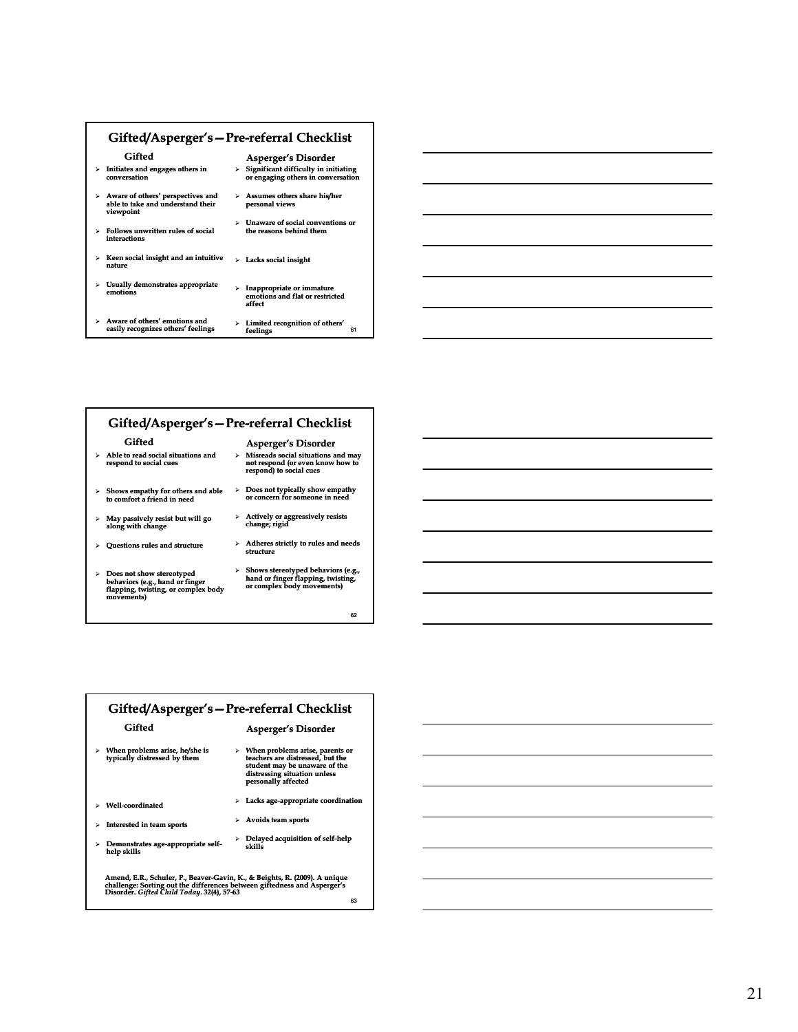| Gifted/Asperger's – Pre-referral Checklist                                                   |                                                                                  |  |  |
|----------------------------------------------------------------------------------------------|----------------------------------------------------------------------------------|--|--|
| Gifted                                                                                       | <b>Asperger's Disorder</b>                                                       |  |  |
| Initiates and engages others in<br>conversation                                              | Significant difficulty in initiating<br>r.<br>or engaging others in conversation |  |  |
| > Aware of others' perspectives and<br>able to take and understand their<br>viewpoint        | > Assumes others share his/her<br>personal views                                 |  |  |
| Follows unwritten rules of social<br>⋗<br>interactions                                       | Unaware of social conventions or<br>r.<br>the reasons behind them                |  |  |
| Keen social insight and an intuitive<br>⋗<br>nature                                          | Lacks social insight<br>r.                                                       |  |  |
| Usually demonstrates appropriate<br>⋗<br>emotions                                            | Inappropriate or immature<br>×.<br>emotions and flat or restricted<br>affect     |  |  |
| Aware of others' emotions and<br>$\blacktriangleright$<br>easily recognizes others' feelings | Limited recognition of others'<br>⋗<br>61<br>feelings                            |  |  |



| Gifted/Asperger's – Pre-referral Checklist                                                                                         |  |                                                                                                                    |  |
|------------------------------------------------------------------------------------------------------------------------------------|--|--------------------------------------------------------------------------------------------------------------------|--|
| Gifted                                                                                                                             |  | <b>Asperger's Disorder</b>                                                                                         |  |
| $\triangleright$ Able to read social situations and<br>respond to social cues                                                      |  | $\triangleright$ Misreads social situations and may<br>not respond (or even know how to<br>respond) to social cues |  |
| $\triangleright$ Shows empathy for others and able<br>to comfort a friend in need                                                  |  | $\triangleright$ Does not typically show empathy<br>or concern for someone in need                                 |  |
| $>$ May passively resist but will go<br>along with change                                                                          |  | $\triangleright$ Actively or aggressively resists<br>change; rigid                                                 |  |
| $\triangleright$ Ouestions rules and structure                                                                                     |  | $\triangleright$ Adheres strictly to rules and needs<br>structure                                                  |  |
| $\triangleright$ Does not show stereotyped<br>behaviors (e.g., hand or finger<br>flapping, twisting, or complex body<br>movements) |  | > Shows stereotyped behaviors (e.g.,<br>hand or finger flapping, twisting,<br>or complex body movements)           |  |

62

| Gifted/Asperger's - Pre-referral Checklist                                                                                                                                                                 |                                                                |    |                                                                                                                                                                              |
|------------------------------------------------------------------------------------------------------------------------------------------------------------------------------------------------------------|----------------------------------------------------------------|----|------------------------------------------------------------------------------------------------------------------------------------------------------------------------------|
|                                                                                                                                                                                                            | Gifted                                                         |    | <b>Asperger's Disorder</b>                                                                                                                                                   |
|                                                                                                                                                                                                            | When problems arise, he/she is<br>typically distressed by them |    | $\triangleright$ When problems arise, parents or<br>teachers are distressed, but the<br>student may be unaware of the<br>distressing situation unless<br>personally affected |
| ⋗                                                                                                                                                                                                          | Well-coordinated                                               | ×. | Lacks age-appropriate coordination                                                                                                                                           |
| ⋗                                                                                                                                                                                                          | Interested in team sports                                      | ×. | Avoids team sports                                                                                                                                                           |
| ⋗                                                                                                                                                                                                          | Demonstrates age-appropriate self-<br>help skills              | ⋗  | Delayed acquisition of self-help<br>skills                                                                                                                                   |
| Amend, E.R., Schuler, P., Beaver-Gavin, K., & Beights, R. (2009). A unique<br>challenge: Sorting out the differences between giftedness and Asperger's<br>Disorder. Gifted Child Today. 32(4), 57-63<br>63 |                                                                |    |                                                                                                                                                                              |

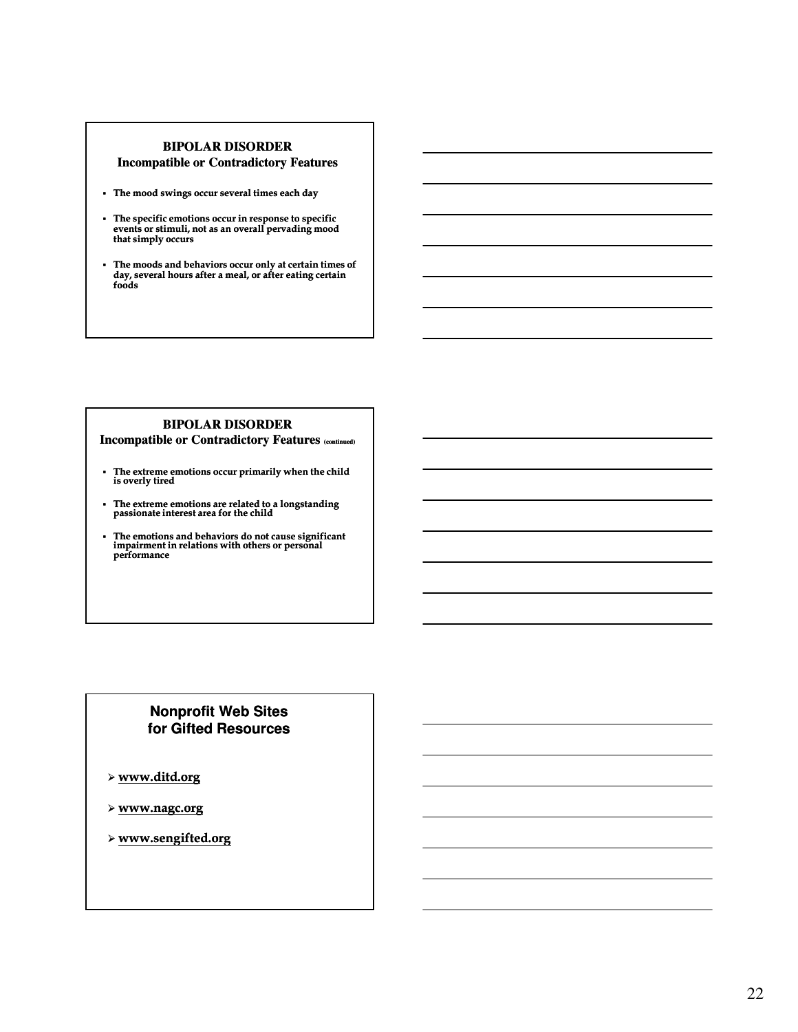### **BIPOLAR DISORDER**

### **Incompatible or Contradictory Features**

- The mood swings occur several times each day
- The specific emotions occur in response to specific events or stimuli, not as an overall pervading mood that simply occurs
- The moods and behaviors occur only at certain times of day, several hours after a meal, or after eating certain foods

# **BIPOLAR DISORDER**

### **Incompatible or Contradictory Features (continued)**

- The extreme emotions occur primarily when the child is overly tired
- The extreme emotions are related to a longstanding passionate interest area for the child
- The emotions and behaviors do not cause significant impairment in relations with others or personal performance

# **Nonprofit Web Sites for Gifted Resources**

- www.ditd.org
- www.nagc.org
- www.sengifted.org